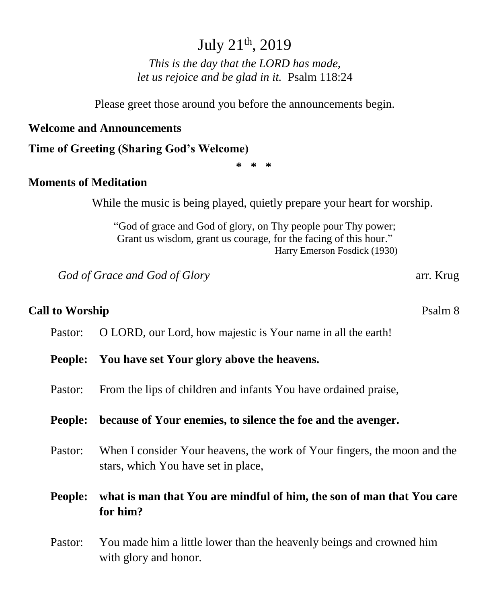# July 21th, 2019

*This is the day that the LORD has made, let us rejoice and be glad in it.* Psalm 118:24

Please greet those around you before the announcements begin.

#### **Welcome and Announcements**

### **Time of Greeting (Sharing God's Welcome)**

**\* \* \***

### **Moments of Meditation**

While the music is being played, quietly prepare your heart for worship.

"God of grace and God of glory, on Thy people pour Thy power; Grant us wisdom, grant us courage, for the facing of this hour." Harry Emerson Fosdick (1930)

*God of Grace and God of Glory* **arrival and** *God of Glory* **arrival arrival arrival arrival arrival arrival arrival arrival arrival arrival arrival arrival arrival arrival arrival arrival arrival arrival arrival arrival** 

# **Call to Worship 2018 Psalm 8**

Pastor: O LORD, our Lord, how majestic is Your name in all the earth!

- **People: You have set Your glory above the heavens.**
- Pastor: From the lips of children and infants You have ordained praise,
- **People: because of Your enemies, to silence the foe and the avenger.**
- Pastor: When I consider Your heavens, the work of Your fingers, the moon and the stars, which You have set in place,

**People: what is man that You are mindful of him, the son of man that You care for him?**

Pastor: You made him a little lower than the heavenly beings and crowned him with glory and honor.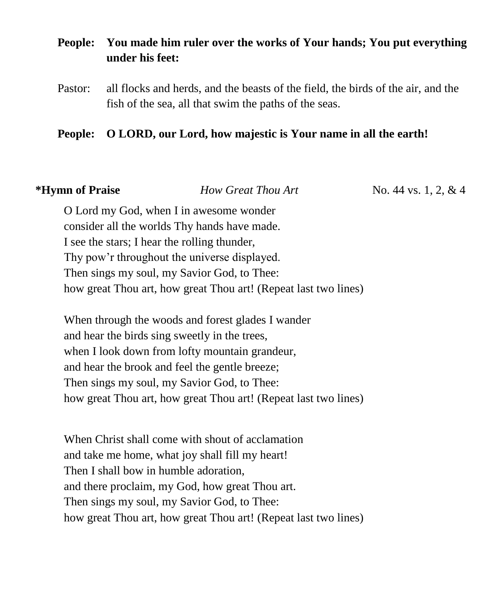# **People: You made him ruler over the works of Your hands; You put everything under his feet:**

Pastor: all flocks and herds, and the beasts of the field, the birds of the air, and the fish of the sea, all that swim the paths of the seas.

#### **People: O LORD, our Lord, how majestic is Your name in all the earth!**

**\*Hymn of Praise** *How Great Thou Art* No. 44 vs. 1, 2, & 4

O Lord my God, when I in awesome wonder consider all the worlds Thy hands have made. I see the stars; I hear the rolling thunder, Thy pow'r throughout the universe displayed. Then sings my soul, my Savior God, to Thee: how great Thou art, how great Thou art! (Repeat last two lines)

When through the woods and forest glades I wander and hear the birds sing sweetly in the trees, when I look down from lofty mountain grandeur, and hear the brook and feel the gentle breeze; Then sings my soul, my Savior God, to Thee: how great Thou art, how great Thou art! (Repeat last two lines)

When Christ shall come with shout of acclamation and take me home, what joy shall fill my heart! Then I shall bow in humble adoration, and there proclaim, my God, how great Thou art. Then sings my soul, my Savior God, to Thee: how great Thou art, how great Thou art! (Repeat last two lines)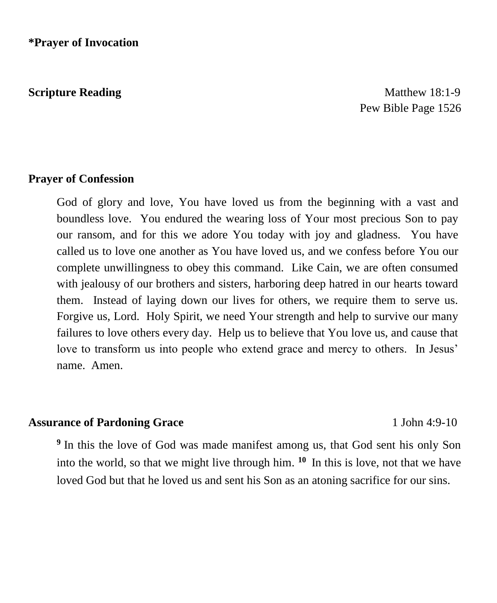**Scripture Reading**  Matthew 18:1-9 Pew Bible Page 1526

#### **Prayer of Confession**

God of glory and love, You have loved us from the beginning with a vast and boundless love. You endured the wearing loss of Your most precious Son to pay our ransom, and for this we adore You today with joy and gladness. You have called us to love one another as You have loved us, and we confess before You our complete unwillingness to obey this command. Like Cain, we are often consumed with jealousy of our brothers and sisters, harboring deep hatred in our hearts toward them. Instead of laying down our lives for others, we require them to serve us. Forgive us, Lord. Holy Spirit, we need Your strength and help to survive our many failures to love others every day. Help us to believe that You love us, and cause that love to transform us into people who extend grace and mercy to others. In Jesus' name. Amen.

#### **Assurance of Pardoning Grace** 1 John 4:9-10

<sup>9</sup> In this the love of God was made manifest among us, that God sent his only Son into the world, so that we might live through him.  $10$  In this is love, not that we have loved God but that he loved us and sent his Son as an atoning sacrifice for our sins.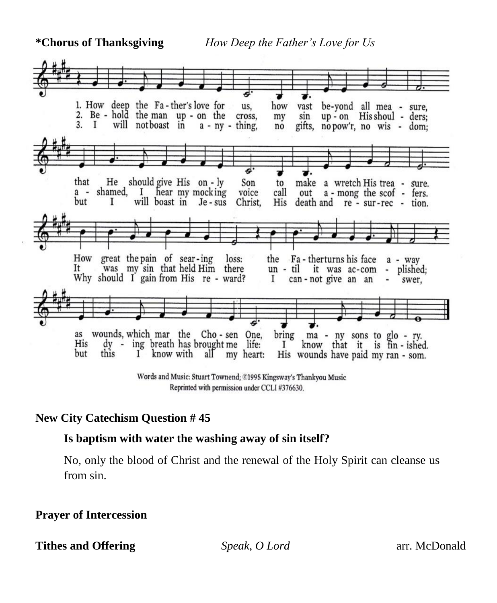**\*Chorus of Thanksgiving** *How Deep the Father's Love for Us*



Words and Music: Stuart Townend; C1995 Kingsway's Thankyou Music Reprinted with permission under CCLI #376630.

# **New City Catechism Question # 45**

### **Is baptism with water the washing away of sin itself?**

No, only the blood of Christ and the renewal of the Holy Spirit can cleanse us from sin.

### **Prayer of Intercession**

**Tithes and Offering** *Speak, O Lord* arr. McDonald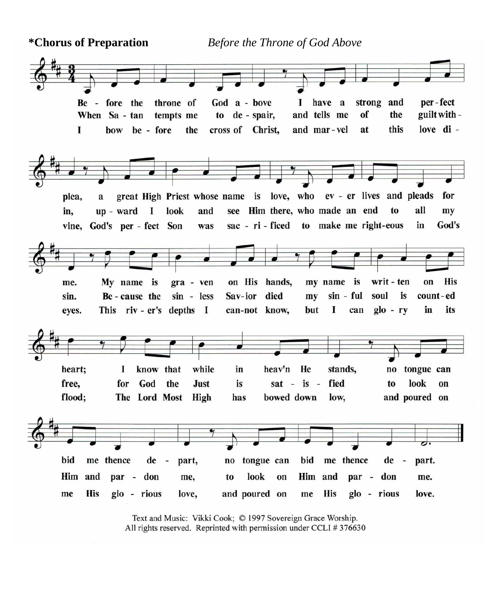**\*Chorus of Preparation** *Before the Throne of God Above* 



Text and Music: Vikki Cook; © 1997 Sovereign Grace Worship. All rights reserved. Reprinted with permission under CCLI #376630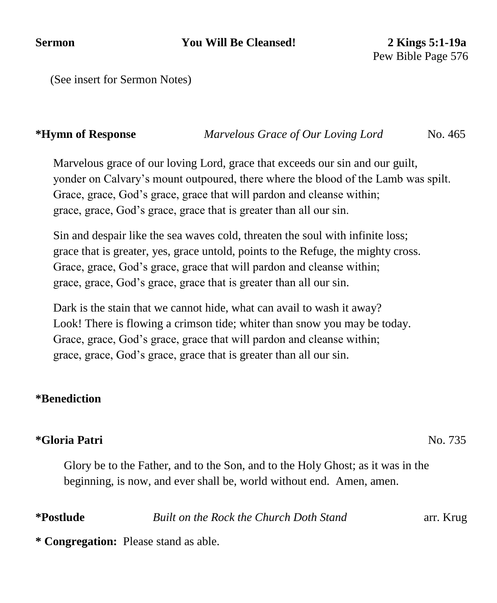(See insert for Sermon Notes)

# **\*Hymn of Response** *Marvelous Grace of Our Loving Lord* No. 465

Marvelous grace of our loving Lord, grace that exceeds our sin and our guilt, yonder on Calvary's mount outpoured, there where the blood of the Lamb was spilt. Grace, grace, God's grace, grace that will pardon and cleanse within; grace, grace, God's grace, grace that is greater than all our sin.

Sin and despair like the sea waves cold, threaten the soul with infinite loss; grace that is greater, yes, grace untold, points to the Refuge, the mighty cross. Grace, grace, God's grace, grace that will pardon and cleanse within; grace, grace, God's grace, grace that is greater than all our sin.

Dark is the stain that we cannot hide, what can avail to wash it away? Look! There is flowing a crimson tide; whiter than snow you may be today. Grace, grace, God's grace, grace that will pardon and cleanse within; grace, grace, God's grace, grace that is greater than all our sin.

# **\*Benediction**

# **\*Gloria Patri** No. 735

Glory be to the Father, and to the Son, and to the Holy Ghost; as it was in the beginning, is now, and ever shall be, world without end. Amen, amen.

| *Postlude | Built on the Rock the Church Doth Stand | arr. Krug |
|-----------|-----------------------------------------|-----------|
|           | * Congregation: Please stand as able.   |           |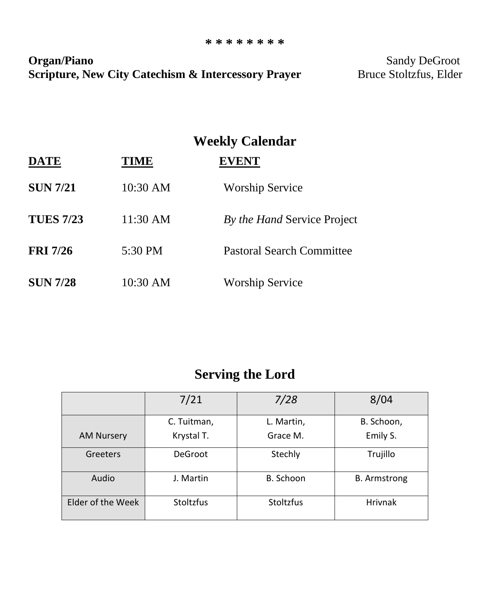**Organ/Piano Sandy DeGroot**<br> **Sandy DeGroot**<br> **Sandy DeGroot**<br> **Sandy DeGroot**<br> **Sandy DeGroot Scripture, New City Catechism & Intercessory Prayer** 

|                  | <b>Weekly Calendar</b> |                             |  |
|------------------|------------------------|-----------------------------|--|
| <b>DATE</b>      | TIME                   | <b>EVENT</b>                |  |
| <b>SUN 7/21</b>  | 10:30 AM               | <b>Worship Service</b>      |  |
| <b>TUES 7/23</b> | 11:30 AM               | By the Hand Service Project |  |
| <b>FRI 7/26</b>  | 5:30 PM                | Pastoral Search Committee   |  |
| <b>SUN 7/28</b>  | 10:30 AM               | <b>Worship Service</b>      |  |

# **Serving the Lord**

|                   | 7/21             | 7/28       | 8/04                |
|-------------------|------------------|------------|---------------------|
|                   | C. Tuitman,      | L. Martin, | B. Schoon,          |
| <b>AM Nursery</b> | Krystal T.       | Grace M.   | Emily S.            |
| Greeters          | DeGroot          | Stechly    | Trujillo            |
| Audio             | J. Martin        | B. Schoon  | <b>B.</b> Armstrong |
| Elder of the Week | <b>Stoltzfus</b> | Stoltzfus  | <b>Hrivnak</b>      |